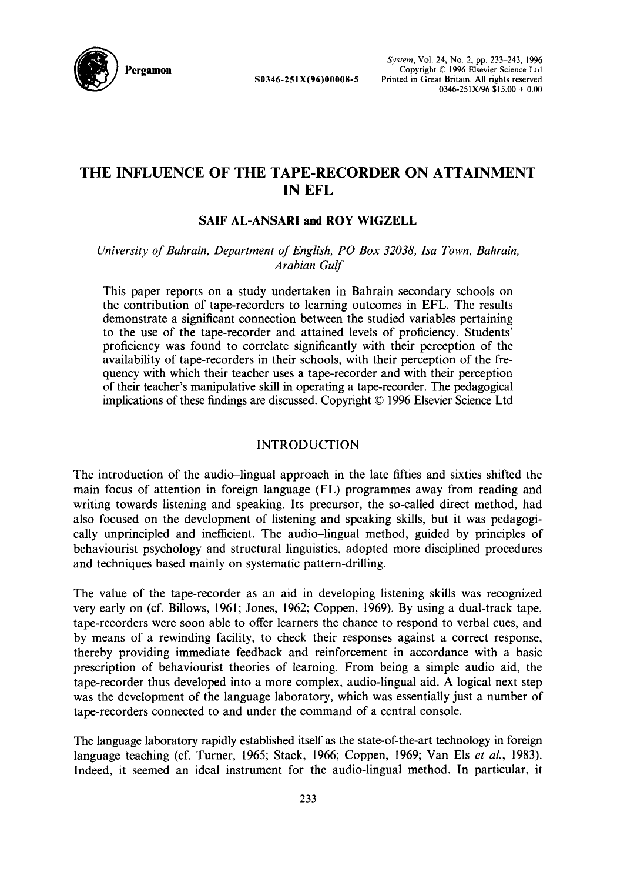

S0346-251X(96)00008-5

# **THE INFLUENCE OF THE TAPE-RECORDER ON ATTAINMENT IN EFL**

# **SAIF AL-ANSARI and ROY WIGZELL**

# *University of Bahrain, Department of English, PO Box 32038, Isa Town, Bahrain, Arabian Gulf*

This paper reports on a study undertaken in Bahrain secondary schools on the contribution of tape-recorders to learning outcomes in EFL. The results demonstrate a significant connection between the studied variables pertaining to the use of the tape-recorder and attained levels of proficiency. Students' proficiency was found to correlate significantly with their perception of the availability of tape-recorders in their schools, with their perception of the frequency with which their teacher uses a tape-recorder and with their perception of their teacher's manipulative skill in operating a tape-recorder. The pedagogical implications of these findings are discussed. Copyright © 1996 Elsevier Science Ltd

# **INTRODUCTION**

The introduction of the audio-lingual approach in the late fifties and sixties shifted the main focus of attention in foreign language (FL) programmes away from reading and writing towards listening and speaking. Its precursor, the so-called direct method, had also focused on the development of listening and speaking skills, but it was pedagogically unprincipled and inefficient. The audio-lingual method, guided by principles of behaviourist psychology and structural linguistics, adopted more disciplined procedures and techniques based mainly on systematic pattern-drilling.

The value of the tape-recorder as an aid in developing listening skills was recognized very early on (cf. Billows, 1961; Jones, 1962; Coppen, 1969). By using a dual-track tape, tape-recorders were soon able to offer learners the chance to respond to verbal cues, and by means of a rewinding facility, to check their responses against a correct response, thereby providing immediate feedback and reinforcement in accordance with a basic prescription of behaviourist theories of learning. From being a simple audio aid, the tape-recorder thus developed into a more complex, audio-lingual aid. A logical next step was the development of the language laboratory, which was essentially just a number of tape-recorders connected to and under the command of a central console.

The language laboratory rapidly established itself as the state-of-the-art technology in foreign language teaching (cf. Turner, 1965; Stack, 1966; Coppen, 1969; Van Els *et al.,* 1983). Indeed, it seemed an ideal instrument for the audio-lingual method. In particular, it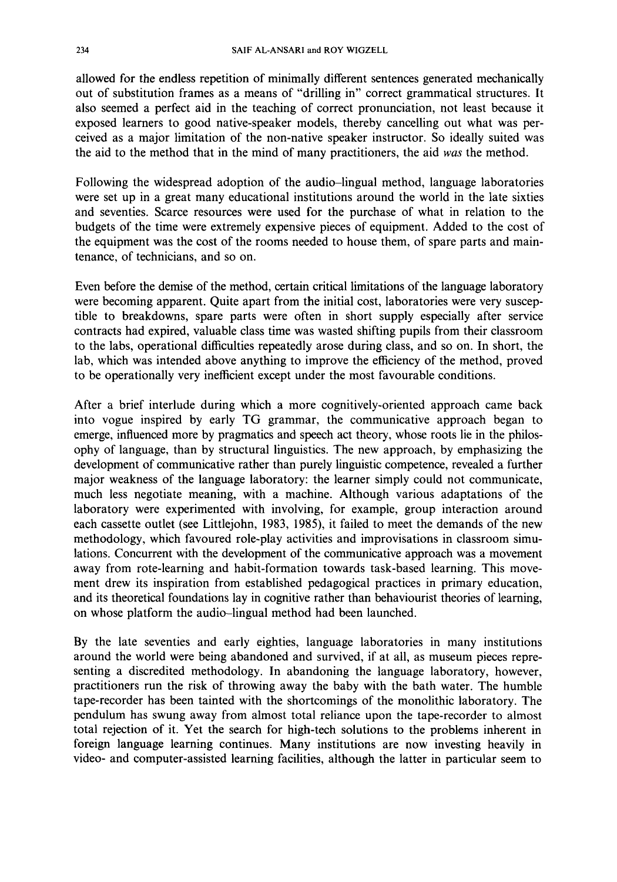allowed for the endless repetition of minimally different sentences generated mechanically out of substitution frames as a means of "drilling in" correct grammatical structures. It also seemed a perfect aid in the teaching of correct pronunciation, not least because it exposed learners to good native-speaker models, thereby cancelling out what was perceived as a major limitation of the non-native speaker instructor. So ideally suited was the aid to the method that in the mind of many practitioners, the aid *was* the method.

Following the widespread adoption of the audio-lingual method, language laboratories were set up in a great many educational institutions around the world in the late sixties and seventies. Scarce resources were used for the purchase of what in relation to the budgets of the time were extremely expensive pieces of equipment. Added to the cost of the equipment was the cost of the rooms needed to house them, of spare parts and maintenance, of technicians, and so on.

Even before the demise of the method, certain critical limitations of the language laboratory were becoming apparent. Quite apart from the initial cost, laboratories were very susceptible to breakdowns, spare parts were often in short supply especially after service contracts had expired, valuable class time was wasted shifting pupils from their classroom to the labs, operational difficulties repeatedly arose during class, and so on. In short, the lab, which was intended above anything to improve the efficiency of the method, proved to be operationally very inefficient except under the most favourable conditions.

After a brief interlude during which a more cognitively-oriented approach came back into vogue inspired by early TG grammar, the communicative approach began to emerge, influenced more by pragmatics and speech act theory, whose roots lie in the philosophy of language, than by structural linguistics. The new approach, by emphasizing the development of communicative rather than purely linguistic competence, revealed a further major weakness of the language laboratory: the learner simply could not communicate, much less negotiate meaning, with a machine. Although various adaptations of the laboratory were experimented with involving, for example, group interaction around each cassette outlet (see Littlejohn, 1983, 1985), it failed to meet the demands of the new methodology, which favoured role-play activities and improvisations in classroom simulations. Concurrent with the development of the communicative approach was a movement away from rote-learning and habit-formation towards task-based learning. This movement drew its inspiration from established pedagogical practices in primary education, and its theoretical foundations lay in cognitive rather than behaviourist theories of learning, on whose platform the audio-lingual method had been launched.

By the late seventies and early eighties, language laboratories in many institutions around the world were being abandoned and survived, if at all, as museum pieces representing a discredited methodology. In abandoning the language laboratory, however, practitioners run the risk of throwing away the baby with the bath water. The humble tape-recorder has been tainted with the shortcomings of the monolithic laboratory. The pendulum has swung away from almost total reliance upon the tape-recorder to almost total rejection of it. Yet the search for high-tech solutions to the problems inherent in foreign language learning continues. Many institutions are now investing heavily in video- and computer-assisted learning facilities, although the latter in particular seem to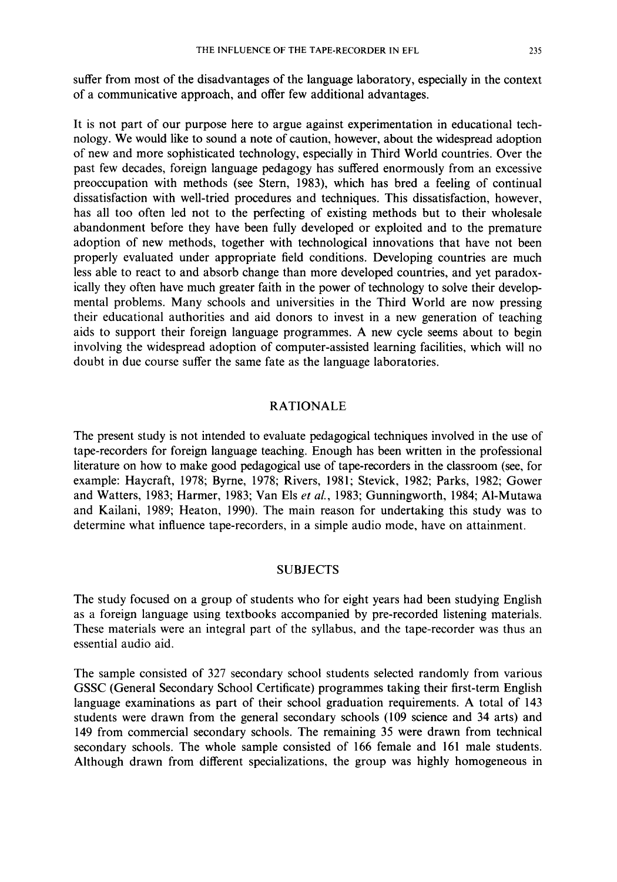suffer from most of the disadvantages of the language laboratory, especially in the context of a communicative approach, and offer few additional advantages.

It is not part of our purpose here to argue against experimentation in educational technology. We would like to sound a note of caution, however, about the widespread adoption of new and more sophisticated technology, especially in Third World countries. Over the past few decades, foreign language pedagogy has suffered enormously from an excessive preoccupation with methods (see Stern, 1983), which has bred a feeling of continual dissatisfaction with well-tried procedures and techniques. This dissatisfaction, however, has all too often led not to the perfecting of existing methods but to their wholesale abandonment before they have been fully developed or exploited and to the premature adoption of new methods, together with technological innovations that have not been properly evaluated under appropriate field conditions. Developing countries are much less able to react to and absorb change than more developed countries, and yet paradoxically they often have much greater faith in the power of technology to solve their developmental problems. Many schools and universities in the Third World are now pressing their educational authorities and aid donors to invest in a new generation of teaching aids to support their foreign language programmes. A new cycle seems about to begin involving the widespread adoption of computer-assisted learning facilities, which will no doubt in due course suffer the same fate as the language laboratories.

### RATIONALE

The present study is not intended to evaluate pedagogical techniques involved in the use of tape-recorders for foreign language teaching. Enough has been written in the professional literature on how to make good pedagogical use of tape-recorders in the classroom (see, for example: Haycraft, 1978; Byrne, 1978; Rivers, 1981; Stevick, 1982; Parks, 1982; Gower and Watters, 1983; Harmer, 1983; Van Els *et al.,* 1983; Gunningworth, 1984; AI-Mutawa and Kailani, 1989; Heaton, 1990). The main reason for undertaking this study was to determine what influence tape-recorders, in a simple audio mode, have on attainment.

#### **SUBJECTS**

The study focused on a group of students who for eight years had been studying English as a foreign language using textbooks accompanied by pre-recorded listening materials. These materials were an integral part of the syllabus, and the tape-recorder was thus an essential audio aid.

The sample consisted of 327 secondary school students selected randomly from various GSSC (General Secondary School Certificate) programmes taking their first-term English language examinations as part of their school graduation requirements. A total of 143 students were drawn from the general secondary schools (109 science and 34 arts) and 149 from commercial secondary schools. The remaining 35 were drawn from technical secondary schools. The whole sample consisted of 166 female and 161 male students. Although drawn from different specializations, the group was highly homogeneous in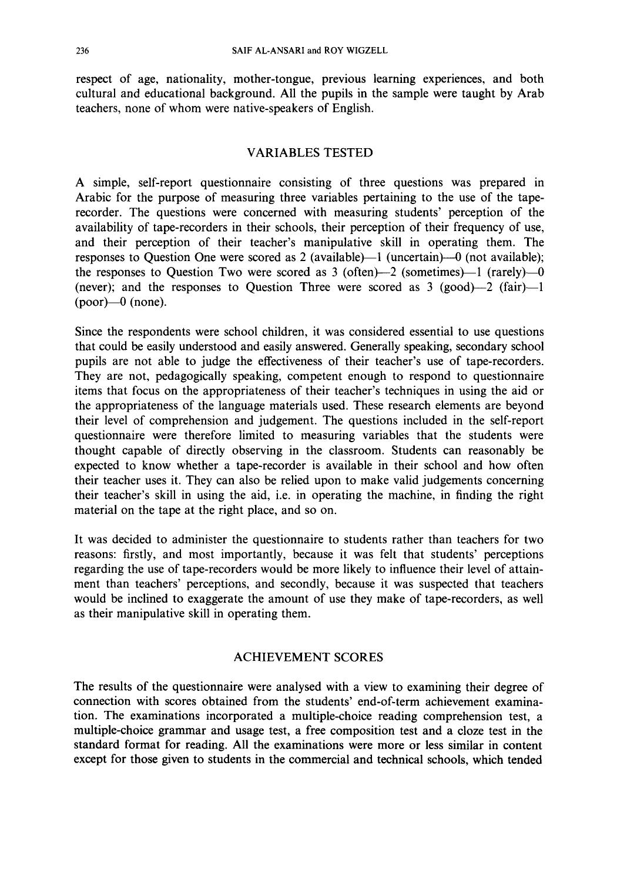respect of age, nationality, mother-tongue, previous learning experiences, and both cultural and educational background. All the pupils in the sample were taught by Arab teachers, none of whom were native-speakers of English.

## VARIABLES TESTED

A simple, self-report questionnaire consisting of three questions was prepared in Arabic for the purpose of measuring three variables pertaining to the use of the taperecorder. The questions were concerned with measuring students' perception of the availability of tape-recorders in their schools, their perception of their frequency of use, and their perception of their teacher's manipulative skill in operating them. The responses to Question One were scored as 2 (available) $-1$  (uncertain) $-0$  (not available); the responses to Question Two were scored as  $3$  (often)--2 (sometimes)--1 (rarely)--0 (never); and the responses to Question Three were scored as  $3 \text{ (good)}-2 \text{ (fair)}-1$  $(poor)$ -0 (none).

Since the respondents were school children, it was considered essential to use questions that could be easily understood and easily answered. Generally speaking, secondary school pupils are not able to judge the effectiveness of their teacher's use of tape-recorders. They are not, pedagogically speaking, competent enough to respond to questionnaire items that focus on the appropriateness of their teacher's techniques in using the aid or the appropriateness of the language materials used. These research elements are beyond their level of comprehension and judgement. The questions included in the self-report questionnaire were therefore limited to measuring variables that the students were thought capable of directly observing in the classroom. Students can reasonably be expected to know whether a tape-recorder is available in their school and how often their teacher uses it. They can also be relied upon to make valid judgements concerning their teacher's skill in using the aid, i.e. in operating the machine, in finding the right material on the tape at the right place, and so on.

It was decided to administer the questionnaire to students rather than teachers for two reasons: firstly, and most importantly, because it was felt that students' perceptions regarding the use of tape-recorders would be more likely to influence their level of attainment than teachers' perceptions, and secondly, because it was suspected that teachers would be inclined to exaggerate the amount of use they make of tape-recorders, as well as their manipulative skill in operating them.

# ACHIEVEMENT SCORES

The results of the questionnaire were analysed with a view to examining their degree of connection with scores obtained from the students' end-of-term achievement examination. The examinations incorporated a multiple-choice reading comprehension test, a multiple-choice grammar and usage test, a free composition test and a cloze test in the standard format for reading. All the examinations were more or less similar in content except for those given to students in the commercial and technical schools, which tended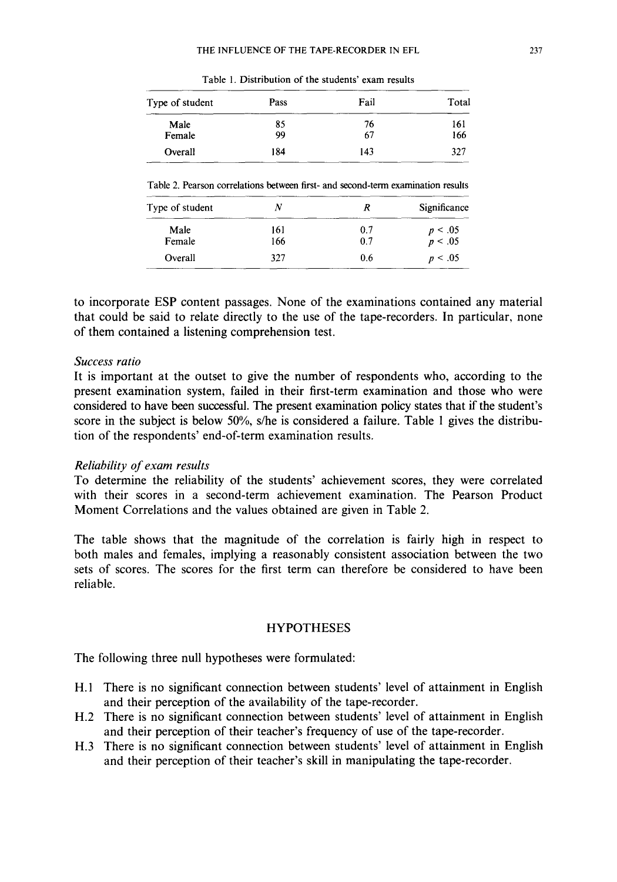| Type of student                                                                  | Pass | Fail | Total              |
|----------------------------------------------------------------------------------|------|------|--------------------|
| Male                                                                             | 85   | 76   | 161                |
| Female                                                                           | 99   | 67   | 166                |
| Overall                                                                          | 184  | 143  | 327                |
| Table 2. Pearson correlations between first- and second-term examination results |      |      |                    |
| Type of student                                                                  | N    | R    | Significance       |
| Male                                                                             | 161  | 0.7  |                    |
| Female                                                                           | 166  | 0.7  | p < .05<br>p < .05 |

Table 1. Distribution of the students' exam results

to incorporate ESP content passages. None of the examinations contained any material that could be said to relate directly to the use of the tape-recorders. In particular, none of them contained a listening comprehension test.

#### *Success ratio*

It is important at the outset to give the number of respondents who, according to the present examination system, failed in their first-term examination and those who were considered to have been successful. The present examination policy states that if the student's score in the subject is below 50%, s/he is considered a failure. Table 1 gives the distribution of the respondents' end-of-term examination results.

#### *Reliability of exam results*

To determine the reliability of the students' achievement scores, they were correlated with their scores in a second-term achievement examination. The Pearson Product Moment Correlations and the values obtained are given in Table 2.

The table shows that the magnitude of the correlation is fairly high in respect to both males and females, implying a reasonably consistent association between the two sets of scores. The scores for the first term can therefore be considered to have been reliable.

### **HYPOTHESES**

The following three null hypotheses were formulated:

- H.1 There is no significant connection between students' level of attainment in English and their perception of the availability of the tape-recorder.
- H.2 There is no significant connection between students' level of attainment in English and their perception of their teacher's frequency of use of the tape-recorder.
- H.3 There is no significant connection between students' level of attainment in English and their perception of their teacher's skill in manipulating the tape-recorder.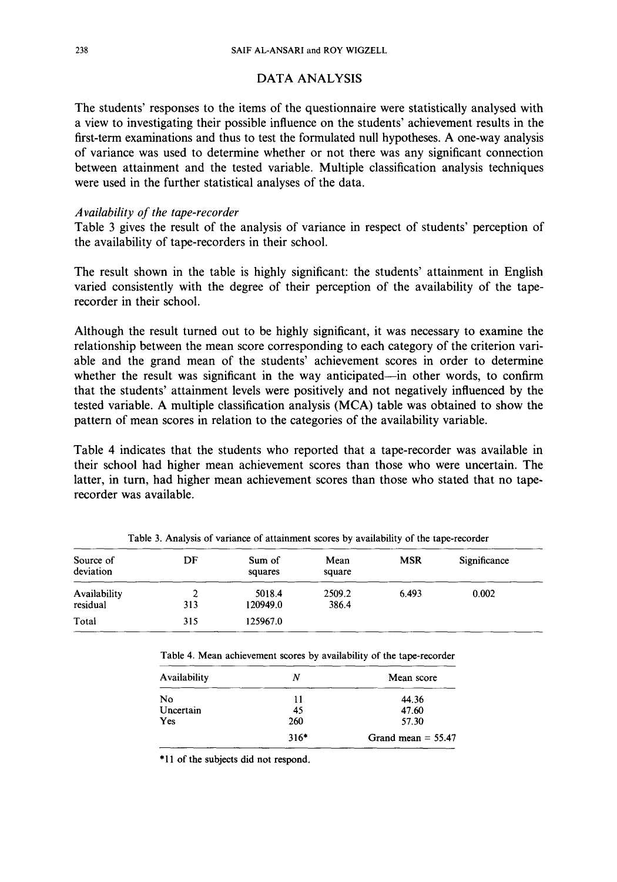### DATA ANALYSIS

The students' responses to the items of the questionnaire were statistically analysed with a view to investigating their possible influence on the students' achievement results in the first-term examinations and thus to test the formulated null hypotheses. A one-way analysis of variance was used to determine whether or not there was any significant connection between attainment and the tested variable. Multiple classification analysis techniques were used in the further statistical analyses of the data.

#### *Availability of the tape-recorder*

Table 3 gives the result of the analysis of variance in respect of students' perception of the availability of tape-recorders in their school.

The result shown in the table is highly significant: the students' attainment in English varied consistently with the degree of their perception of the availability of the taperecorder in their school.

Although the result turned out to be highly significant, it was necessary to examine the relationship between the mean score corresponding to each category of the criterion variable and the grand mean of the students' achievement scores in order to determine whether the result was significant in the way anticipated—in other words, to confirm that the students' attainment levels were positively and not negatively influenced by the tested variable. A multiple classification analysis (MCA) table was obtained to show the pattern of mean scores in relation to the categories of the availability variable.

Table 4 indicates that the students who reported that a tape-recorder was available in their school had higher mean achievement scores than those who were uncertain. The latter, in turn, had higher mean achievement scores than those who stated that no taperecorder was available.

| Source of<br>deviation   | DF  | Sum of<br>squares  | Mean<br>square  | <b>MSR</b> | Significance |
|--------------------------|-----|--------------------|-----------------|------------|--------------|
| Availability<br>residual | 313 | 5018.4<br>120949.0 | 2509.2<br>386.4 | 6.493      | 0.002        |
| Total                    | 315 | 125967.0           |                 |            |              |

Table 3. Analysis of variance of attainment scores by availability of the tape-recorder

| Table 4. Mean achievement scores by availability of the tape-recorder |  |  |
|-----------------------------------------------------------------------|--|--|
|-----------------------------------------------------------------------|--|--|

| Availability | Ν      | Mean score           |
|--------------|--------|----------------------|
| No           | 11     | 44.36                |
| Uncertain    | 45     | 47.60                |
| Yes          | 260    | 57.30                |
|              | $316*$ | Grand mean $= 55.47$ |

\* 11 of the subjects did not respond.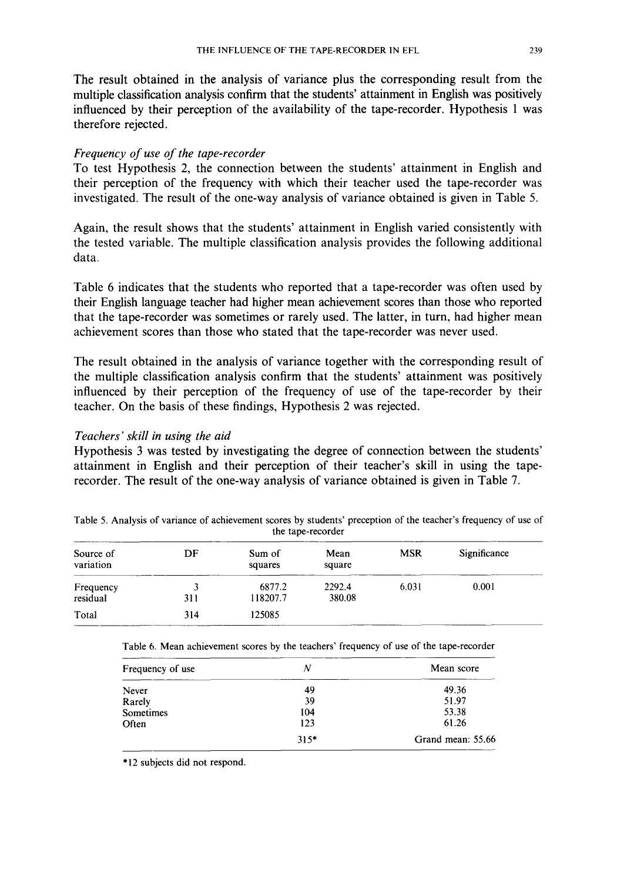The result obtained in the analysis of variance plus the corresponding result from the multiple classification analysis confirm that the students' attainment in English was positively influenced by their perception of the availability of the tape-recorder. Hypothesis 1 was therefore rejected.

### *Frequency of use of the tape-recorder*

To test Hypothesis 2, the connection between the students' attainment in English and their perception of the frequency with which their teacher used the tape-recorder was investigated. The result of the one-way analysis of variance obtained is given in Table 5.

Again, the result shows that the students' attainment in English varied consistently with the tested variable. The multiple classification analysis provides the following additional data.

Table 6 indicates that the students who reported that a tape-recorder was often used by their English language teacher had higher mean achievement scores than those who reported that the tape-recorder was sometimes or rarely used. The latter, in turn, had higher mean achievement scores than those who stated that the tape-recorder was never used.

The result obtained in the analysis of variance together with the corresponding result of the multiple classification analysis confirm that the students' attainment was positively influenced by their perception of the frequency of use of the tape-recorder by their teacher. On the basis of these findings, Hypothesis 2 was rejected.

## *Teachers' skill in using the aid*

Hypothesis 3 was tested by investigating the degree of connection between the students' attainment in English and their perception of their teacher's skill in using the taperecorder. The result of the one-way analysis of variance obtained is given in Table 7.

| the tape recorder      |     |                    |                  |            |              |  |
|------------------------|-----|--------------------|------------------|------------|--------------|--|
| Source of<br>variation | DF  | Sum of<br>squares  | Mean<br>square   | <b>MSR</b> | Significance |  |
| Frequency<br>residual  | 311 | 6877.2<br>118207.7 | 2292.4<br>380.08 | 6.031      | 0.001        |  |
| Total                  | 314 | 125085             |                  |            |              |  |

Table 5. Analysis of variance of achievement scores by students' preception of the teacher's frequency of use of the tape-recorder

|  | Table 6. Mean achievement scores by the teachers' frequency of use of the tape-recorder |
|--|-----------------------------------------------------------------------------------------|
|--|-----------------------------------------------------------------------------------------|

| Frequency of use | Ν      | Mean score        |
|------------------|--------|-------------------|
| Never            | 49     | 49.36             |
| Rarely           | 39     | 51.97             |
| Sometimes        | 104    | 53.38             |
| Often            | 123    | 61.26             |
|                  | $315*$ | Grand mean: 55.66 |

"12 subjects did not respond.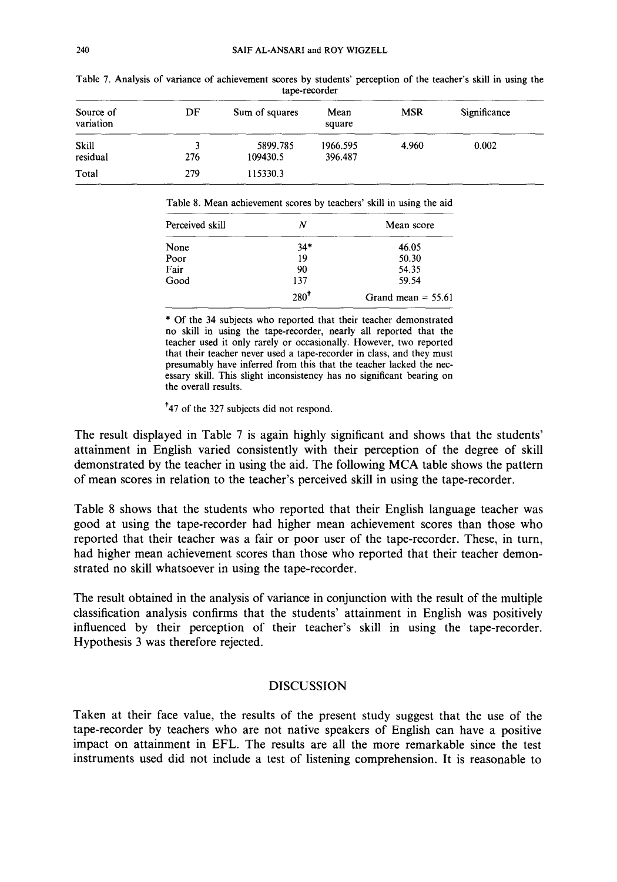| Source of<br>variation | DF  | Sum of squares | Mean<br>square | <b>MSR</b> | Significance |
|------------------------|-----|----------------|----------------|------------|--------------|
| <b>Skill</b>           |     | 5899.785       | 1966.595       | 4.960      | 0.002        |
| residual               | 276 | 109430.5       | 396.487        |            |              |
| Total                  | 279 | 115330.3       |                |            |              |

Table 7. Analysis of variance of achievement scores by students' perception of the teacher's skill in using the tape-recorder

Table 8. Mean achievement scores by teachers' skill in using the aid

| Perceived skill | Ν                | Mean score           |
|-----------------|------------------|----------------------|
| None            | $34*$            | 46.05                |
| Poor            | 19               | 50.30                |
| Fair            | 90               | 54.35                |
| Good            | 137              | 59.54                |
|                 | 280 <sup>t</sup> | Grand mean $= 55.61$ |

\* Of the 34 subjects who reported that their teacher demonstrated no skill in using the tape-recorder, nearly all reported that the teacher used it only rarely or occasionally. However, two reported that their teacher never used a tape-recorder in class, and they must presumably have inferred from this that the teacher lacked the necessary skill. This slight inconsistency has no significant bearing on the overall results.

<sup>+</sup>47 of the 327 subjects did not respond.

The result displayed in Table 7 is again highly significant and shows that the students' attainment in English varied consistently with their perception of the degree of skill demonstrated by the teacher in using the aid. The following MCA table shows the pattern of mean scores in relation to the teacher's perceived skill in using the tape-recorder.

Table 8 shows that the students who reported that their English language teacher was good at using the tape-recorder had higher mean achievement scores than those who reported that their teacher was a fair or poor user of the tape-recorder. These, in turn, had higher mean achievement scores than those who reported that their teacher demonstrated no skill whatsoever in using the tape-recorder.

The result obtained in the analysis of variance in conjunction with the result of the multiple classification analysis confirms that the students' attainment in English was positively influenced by their perception of their teacher's skill in using the tape-recorder. Hypothesis 3 was therefore rejected.

### **DISCUSSION**

Taken at their face value, the results of the present study suggest that the use of the tape-recorder by teachers who are not native speakers of English can have a positive impact on attainment in EFL. The results are all the more remarkable since the test instruments used did not include a test of listening comprehension. It is reasonable to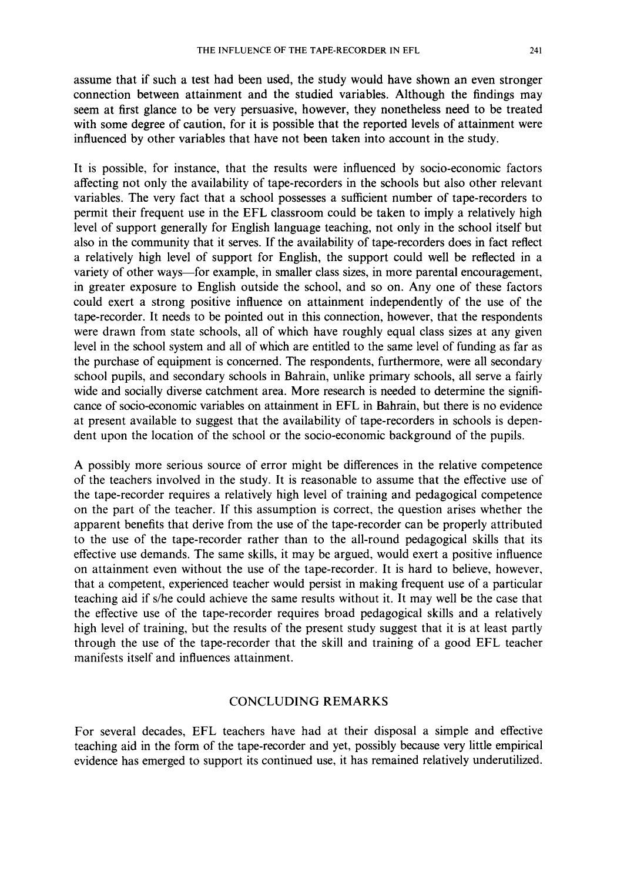assume that if such a test had been used, the study would have shown an even stronger connection between attainment and the studied variables. Although the findings may seem at first glance to be very persuasive, however, they nonetheless need to be treated with some degree of caution, for it is possible that the reported levels of attainment were influenced by other variables that have not been taken into account in the study.

It is possible, for instance, that the results were influenced by socio-economic factors affecting not only the availability of tape-recorders in the schools but also other relevant variables. The very fact that a school possesses a sufficient number of tape-recorders to permit their frequent use in the EFL classroom could be taken to imply a relatively high level of support generally for English language teaching, not only in the school itself but also in the community that it serves. If the availability of tape-recorders does in fact reflect a relatively high level of support for English, the support could well be reflected in a variety of other ways—for example, in smaller class sizes, in more parental encouragement, in greater exposure to English outside the school, and so on. Any one of these factors could exert a strong positive influence on attainment independently of the use of the tape-recorder. It needs to be pointed out in this connection, however, that the respondents were drawn from state schools, all of which have roughly equal class sizes at any given level in the school system and all of which are entitled to the same level of funding as far as the purchase of equipment is concerned. The respondents, furthermore, were all secondary school pupils, and secondary schools in Bahrain, unlike primary schools, all serve a fairly wide and socially diverse catchment area. More research is needed to determine the significance of socio-economic variables on attainment in EFL in Bahrain, but there is no evidence at present available to suggest that the availability of tape-recorders in schools is dependent upon the location of the school or the socio-economic background of the pupils.

A possibly more serious source of error might be differences in the relative competence of the teachers involved in the study. It is reasonable to assume that the effective use of the tape-recorder requires a relatively high level of training and pedagogical competence on the part of the teacher. If this assumption is correct, the question arises whether the apparent benefits that derive from the use of the tape-recorder can be properly attributed to the use of the tape-recorder rather than to the all-round pedagogical skills that its effective use demands. The same skills, it may be argued, would exert a positive influence on attainment even without the use of the tape-recorder. It is hard to believe, however, that a competent, experienced teacher would persist in making frequent use of a particular teaching aid if s/he could achieve the same results without it. It may well be the case that the effective use of the tape-recorder requires broad pedagogical skills and a relatively high level of training, but the results of the present study suggest that it is at least partly through the use of the tape-recorder that the skill and training of a good EFL teacher manifests itself and influences attainment.

# CONCLUDING REMARKS

For several decades, EFL teachers have had at their disposal a simple and effective teaching aid in the form of the tape-recorder and yet, possibly because very little empirical evidence has emerged to support its continued use, it has remained relatively underutilized.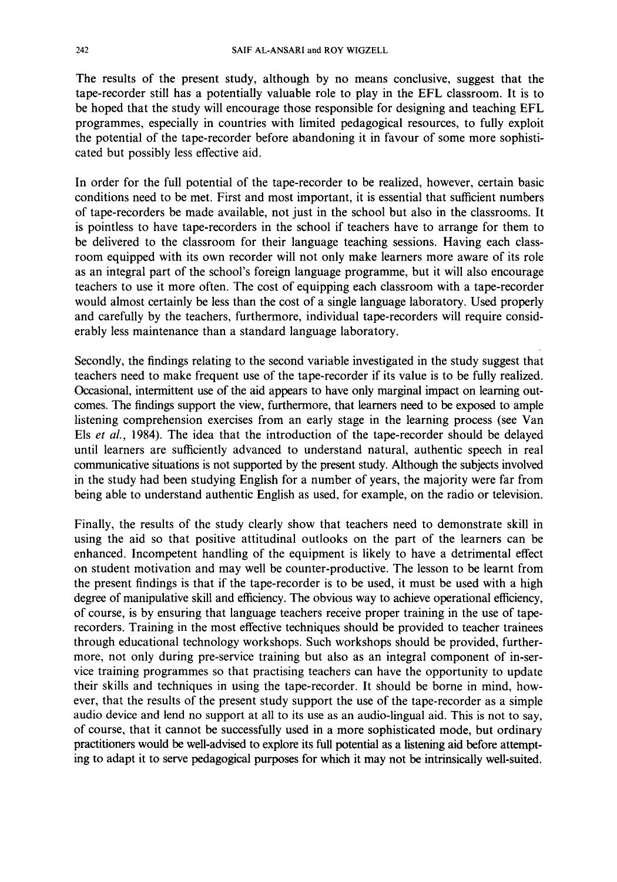The results of the present study, although by no means conclusive, suggest that the tape-recorder still has a potentially valuable role to play in the EFL classroom. It is to be hoped that the study will encourage those responsible for designing and teaching EFL programmes, especially in countries with limited pedagogical resources, to fully exploit the potential of the tape-recorder before abandoning it in favour of some more sophisticated but possibly less effective aid.

In order for the full potential of the tape-recorder to be realized, however, certain basic conditions need to be met. First and most important, it is essential that sufficient numbers of tape-recorders be made available, not just in the school but also in the classrooms. It is pointless to have tape-recorders in the school if teachers have to arrange for them to be delivered to the classroom for their language teaching sessions. Having each classroom equipped with its own recorder will not only make learners more aware of its role as an integral part of the school's foreign language programme, but it will also encourage teachers to use it more often. The cost of equipping each classroom with a tape-recorder would almost certainly be less than the cost of a single language laboratory. Used properly and carefully by the teachers, furthermore, individual tape-recorders will require considerably less maintenance than a standard language laboratory.

Secondly, the findings relating to the second variable investigated in the study suggest that teachers need to make frequent use of the tape-recorder if its value is to be fully realized. Occasional, intermittent use of the aid appears to have only marginal impact on learning outcomes. The findings support the view, furthermore, that learners need to be exposed to ample listening comprehension exercises from an early stage in the learning process (see Van Els *et al.,* 1984). The idea that the introduction of the tape-recorder should be delayed until learners are sufficiently advanced to understand natural, authentic speech in real communicative situations is not supported by the present study. Although the subjects involved in the study had been studying English for a number of years, the majority were far from being able to understand authentic English as used, for example, on the radio or television.

Finally, the results of the study clearly show that teachers need to demonstrate skill in using the aid so that positive attitudinal outlooks on the part of the learners can be enhanced. Incompetent handling of the equipment is likely to have a detrimental effect on student motivation and may well be counter-productive. The lesson to be learnt from the present findings is that if the tape-recorder is to be used, it must be used with a high degree of manipulative skill and efficiency. The obvious way to achieve operational efficiency, of course, is by ensuring that language teachers receive proper training in the use of taperecorders. Training in the most effective techniques should be provided to teacher trainees through educational technology workshops. Such workshops should be provided, furthermore, not only during pre-service training but also as an integral component of in-service training programmes so that practising teachers can have the opportunity to update their skills and techniques in using the tape-recorder. It should be borne in mind, however, that the results of the present study support the use of the tape-recorder as a simple audio device and lend no support at all to its use as an audio-lingual aid. This is not to say, of course, that it cannot be successfully used in a more sophisticated mode, but ordinary practitioners would be well-advised to explore its full potential as a listening aid before attempting to adapt it to serve pedagogical purposes for which it may not be intrinsically well-suited.